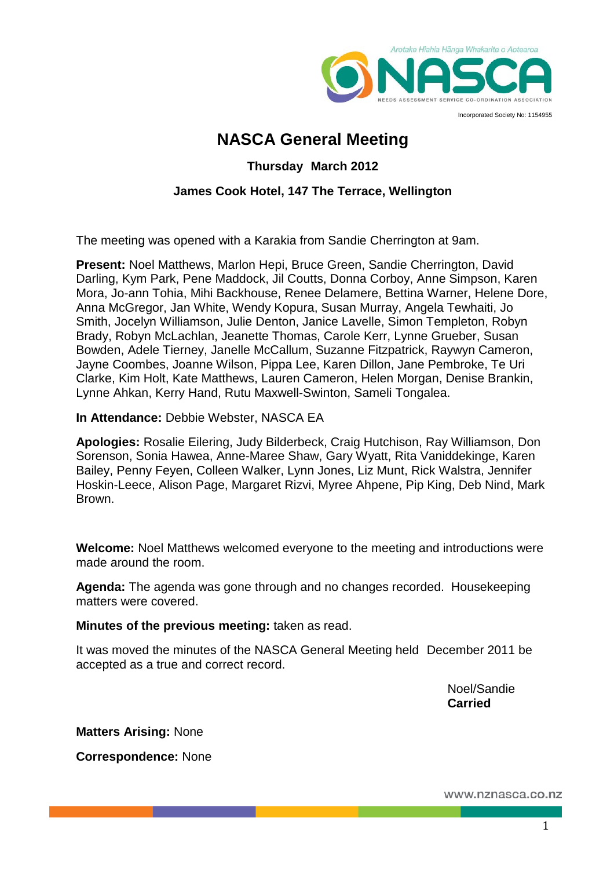

Incorporated Society No: 1154955

# **NASCA General Meeting**

### **Thursday March 2012**

### **James Cook Hotel, 147 The Terrace, Wellington**

The meeting was opened with a Karakia from Sandie Cherrington at 9am.

**Present:** Noel Matthews, Marlon Hepi, Bruce Green, Sandie Cherrington, David Darling, Kym Park, Pene Maddock, Jil Coutts, Donna Corboy, Anne Simpson, Karen Mora, Jo-ann Tohia, Mihi Backhouse, Renee Delamere, Bettina Warner, Helene Dore, Anna McGregor, Jan White, Wendy Kopura, Susan Murray, Angela Tewhaiti, Jo Smith, Jocelyn Williamson, Julie Denton, Janice Lavelle, Simon Templeton, Robyn Brady, Robyn McLachlan, Jeanette Thomas, Carole Kerr, Lynne Grueber, Susan Bowden, Adele Tierney, Janelle McCallum, Suzanne Fitzpatrick, Raywyn Cameron, Jayne Coombes, Joanne Wilson, Pippa Lee, Karen Dillon, Jane Pembroke, Te Uri Clarke, Kim Holt, Kate Matthews, Lauren Cameron, Helen Morgan, Denise Brankin, Lynne Ahkan, Kerry Hand, Rutu Maxwell-Swinton, Sameli Tongalea.

**In Attendance:** Debbie Webster, NASCA EA

**Apologies:** Rosalie Eilering, Judy Bilderbeck, Craig Hutchison, Ray Williamson, Don Sorenson, Sonia Hawea, Anne-Maree Shaw, Gary Wyatt, Rita Vaniddekinge, Karen Bailey, Penny Feyen, Colleen Walker, Lynn Jones, Liz Munt, Rick Walstra, Jennifer Hoskin-Leece, Alison Page, Margaret Rizvi, Myree Ahpene, Pip King, Deb Nind, Mark Brown.

**Welcome:** Noel Matthews welcomed everyone to the meeting and introductions were made around the room.

**Agenda:** The agenda was gone through and no changes recorded. Housekeeping matters were covered.

**Minutes of the previous meeting:** taken as read.

It was moved the minutes of the NASCA General Meeting held December 2011 be accepted as a true and correct record.

> Noel/Sandie **Carried**

**Matters Arising:** None

**Correspondence:** None

www.nznasca.co.nz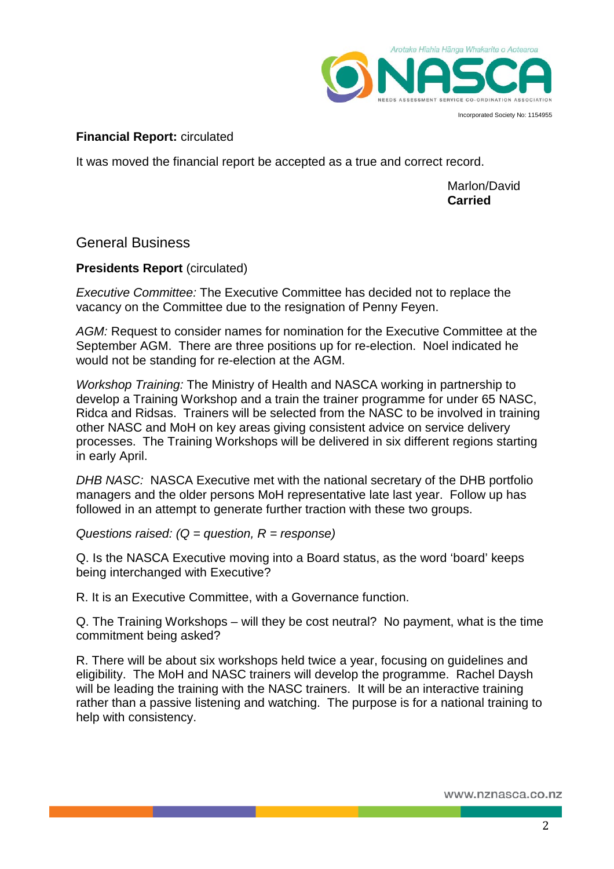

Incorporated Society No: 1154955

## **Financial Report:** circulated

It was moved the financial report be accepted as a true and correct record.

Marlon/David **Carried**

General Business

### **Presidents Report (circulated)**

*Executive Committee:* The Executive Committee has decided not to replace the vacancy on the Committee due to the resignation of Penny Feyen.

*AGM:* Request to consider names for nomination for the Executive Committee at the September AGM. There are three positions up for re-election. Noel indicated he would not be standing for re-election at the AGM.

*Workshop Training:* The Ministry of Health and NASCA working in partnership to develop a Training Workshop and a train the trainer programme for under 65 NASC, Ridca and Ridsas. Trainers will be selected from the NASC to be involved in training other NASC and MoH on key areas giving consistent advice on service delivery processes. The Training Workshops will be delivered in six different regions starting in early April.

*DHB NASC:* NASCA Executive met with the national secretary of the DHB portfolio managers and the older persons MoH representative late last year. Follow up has followed in an attempt to generate further traction with these two groups.

*Questions raised: (Q = question, R = response)*

Q. Is the NASCA Executive moving into a Board status, as the word 'board' keeps being interchanged with Executive?

R. It is an Executive Committee, with a Governance function.

Q. The Training Workshops – will they be cost neutral? No payment, what is the time commitment being asked?

R. There will be about six workshops held twice a year, focusing on guidelines and eligibility. The MoH and NASC trainers will develop the programme. Rachel Daysh will be leading the training with the NASC trainers. It will be an interactive training rather than a passive listening and watching. The purpose is for a national training to help with consistency.